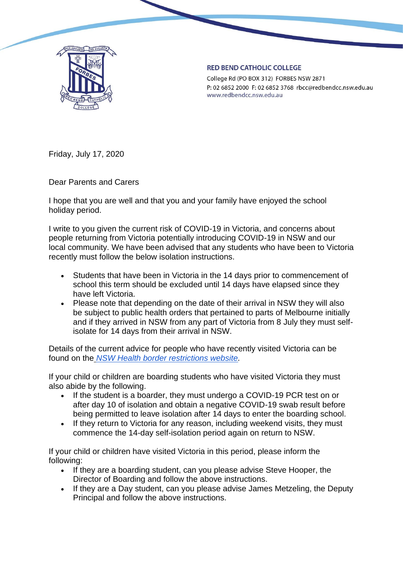

## **RED BEND CATHOLIC COLLEGE**

College Rd (PO BOX 312) FORBES NSW 2871 P: 02 6852 2000 F: 02 6852 3768 rbcc@redbendcc.nsw.edu.au www.redbendcc.nsw.edu.au

Friday, July 17, 2020

Dear Parents and Carers

I hope that you are well and that you and your family have enjoyed the school holiday period.

I write to you given the current risk of COVID-19 in Victoria, and concerns about people returning from Victoria potentially introducing COVID-19 in NSW and our local community. We have been advised that any students who have been to Victoria recently must follow the below isolation instructions.

- Students that have been in Victoria in the 14 days prior to commencement of school this term should be excluded until 14 days have elapsed since they have left Victoria.
- Please note that depending on the date of their arrival in NSW they will also be subject to public health orders that pertained to parts of Melbourne initially and if they arrived in NSW from any part of Victoria from 8 July they must selfisolate for 14 days from their arrival in NSW.

Details of the current advice for people who have recently visited Victoria can be found on the *[NSW Health border restrictions website.](https://www.nsw.gov.au/covid-19/what-you-can-and-cant-do-under-rules/border-restrictions)*

If your child or children are boarding students who have visited Victoria they must also abide by the following.

- If the student is a boarder, they must undergo a COVID-19 PCR test on or after day 10 of isolation and obtain a negative COVID-19 swab result before being permitted to leave isolation after 14 days to enter the boarding school.
- If they return to Victoria for any reason, including weekend visits, they must commence the 14-day self-isolation period again on return to NSW.

If your child or children have visited Victoria in this period, please inform the following:

- If they are a boarding student, can you please advise Steve Hooper, the Director of Boarding and follow the above instructions.
- If they are a Day student, can you please advise James Metzeling, the Deputy Principal and follow the above instructions.